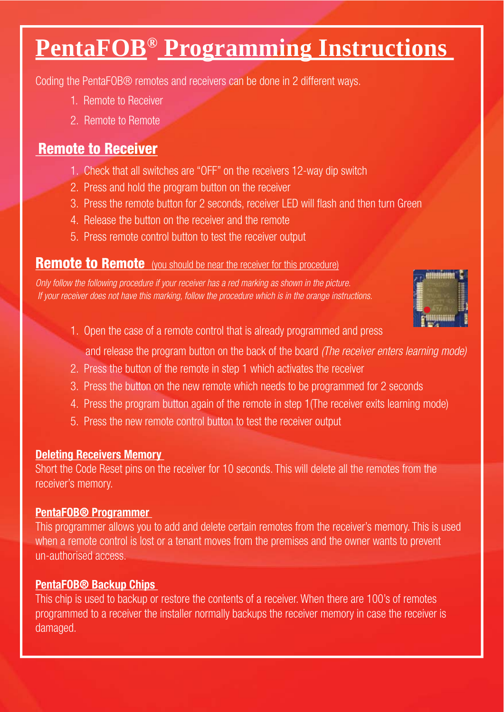# **PentaFOB® Programming Instructions**

Coding the PentaFOB® remotes and receivers can be done in 2 different ways.

- 1. Remote to Receiver
- 2. Remote to Remote

# **Remote to Receiver**

- 1. Check that all switches are "OFF" on the receivers 12-way dip switch
- 2. Press and hold the program button on the receiver
- 3. Press the remote button for 2 seconds, receiver LED will flash and then turn Green
- 4. Release the button on the receiver and the remote
- 5. Press remote control button to test the receiver output

# **Remote to Remote** (you should be near the receiver for this procedure)

*Only follow the following procedure if your receiver has a red marking as shown in the picture. If your receiver does not have this marking, follow the procedure which is in the orange instructions.*



- 1. Open the case of a remote control that is already programmed and press
	- and release the program button on the back of the board *(The receiver enters learning mode)*
- 2. Press the button of the remote in step 1 which activates the receiver
- 3. Press the button on the new remote which needs to be programmed for 2 seconds
- 4. Press the program button again of the remote in step 1(The receiver exits learning mode)
- 5. Press the new remote control button to test the receiver output

**DELET BELOCAL THE CODE RECOVER THE RECEIVER THE RECOVER THE CODE RECOVER THE CODE RECOVER THE SHOT THE SHOT TH** receiver's memory.

# **PentaFOB® Programmer**

**This programmer allows you to add and delete certain remotes from the receiver's memory. This is used** when a remote control is lost or a tenant moves from the premises and the owner wants to prevent un-authorised access.

**This chip is used to backup or restore the contents of a receiver. When there are 100's of remotes** programmed to a receiver the installer normally backups the receiver memory in case the receiver is damaged.